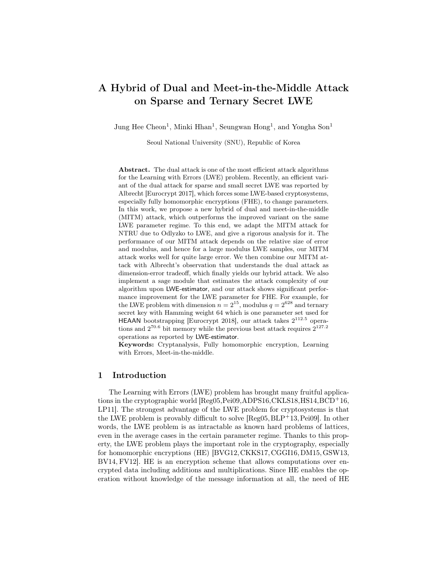# A Hybrid of Dual and Meet-in-the-Middle Attack on Sparse and Ternary Secret LWE

Jung Hee Cheon<sup>1</sup>, Minki Hhan<sup>1</sup>, Seungwan Hong<sup>1</sup>, and Yongha Son<sup>1</sup>

Seoul National University (SNU), Republic of Korea

Abstract. The dual attack is one of the most efficient attack algorithms for the Learning with Errors (LWE) problem. Recently, an efficient variant of the dual attack for sparse and small secret LWE was reported by Albrecht [Eurocrypt 2017], which forces some LWE-based cryptosystems, especially fully homomorphic encryptions (FHE), to change parameters. In this work, we propose a new hybrid of dual and meet-in-the-middle (MITM) attack, which outperforms the improved variant on the same LWE parameter regime. To this end, we adapt the MITM attack for NTRU due to Odlyzko to LWE, and give a rigorous analysis for it. The performance of our MITM attack depends on the relative size of error and modulus, and hence for a large modulus LWE samples, our MITM attack works well for quite large error. We then combine our MITM attack with Albrecht's observation that understands the dual attack as dimension-error tradeoff, which finally yields our hybrid attack. We also implement a sage module that estimates the attack complexity of our algorithm upon LWE-estimator, and our attack shows significant performance improvement for the LWE parameter for FHE. For example, for the LWE problem with dimension  $n = 2^{15}$ , modulus  $q = 2^{628}$  and ternary secret key with Hamming weight 64 which is one parameter set used for HEAAN bootstrapping [Eurocrypt 2018], our attack takes  $2^{112.5}$  operations and  $2^{70.6}$  bit memory while the previous best attack requires  $2^{127.2}$ operations as reported by LWE-estimator.

Keywords: Cryptanalysis, Fully homomorphic encryption, Learning with Errors, Meet-in-the-middle.

# 1 Introduction

The Learning with Errors (LWE) problem has brought many fruitful applications in the cryptographic world [Reg05,Pei09,ADPS16,CKLS18,HS14,BCD<sup>+</sup>16, LP11]. The strongest advantage of the LWE problem for cryptosystems is that the LWE problem is provably difficult to solve  $[Reg05, BLP<sup>+</sup>13, Pei09]$ . In other words, the LWE problem is as intractable as known hard problems of lattices, even in the average cases in the certain parameter regime. Thanks to this property, the LWE problem plays the important role in the cryptography, especially for homomorphic encryptions (HE) [BVG12, CKKS17, CGGI16, DM15, GSW13, BV14, FV12]. HE is an encryption scheme that allows computations over encrypted data including additions and multiplications. Since HE enables the operation without knowledge of the message information at all, the need of HE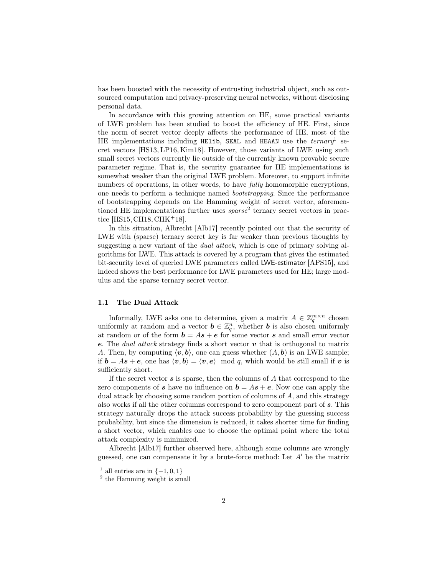has been boosted with the necessity of entrusting industrial object, such as outsourced computation and privacy-preserving neural networks, without disclosing personal data.

In accordance with this growing attention on HE, some practical variants of LWE problem has been studied to boost the efficiency of HE. First, since the norm of secret vector deeply affects the performance of HE, most of the HE implementations including HElib, SEAL and HEAAN use the  $ternary<sup>1</sup>$  secret vectors [HS13, LP16, Kim18]. However, those variants of LWE using such small secret vectors currently lie outside of the currently known provable secure parameter regime. That is, the security guarantee for HE implementations is somewhat weaker than the original LWE problem. Moreover, to support infinite numbers of operations, in other words, to have *fully* homomorphic encryptions, one needs to perform a technique named bootstrapping. Since the performance of bootstrapping depends on the Hamming weight of secret vector, aforementioned HE implementations further uses  $sparse<sup>2</sup>$  ternary secret vectors in practice [HS15, CH18, CHK<sup>+</sup>18].

In this situation, Albrecht [Alb17] recently pointed out that the security of LWE with (sparse) ternary secret key is far weaker than previous thoughts by suggesting a new variant of the *dual attack*, which is one of primary solving algorithms for LWE. This attack is covered by a program that gives the estimated bit-security level of queried LWE parameters called LWE-estimator [APS15], and indeed shows the best performance for LWE parameters used for HE; large modulus and the sparse ternary secret vector.

### 1.1 The Dual Attack

Informally, LWE asks one to determine, given a matrix  $A \in \mathbb{Z}_q^{m \times n}$  chosen uniformly at random and a vector  $\mathbf{b} \in \mathbb{Z}_q^n$ , whether **b** is also chosen uniformly at random or of the form  $\mathbf{b} = A\mathbf{s} + \mathbf{e}$  for some vector  $\mathbf{s}$  and small error vector e. The *dual attack* strategy finds a short vector  $v$  that is orthogonal to matrix A. Then, by computing  $\langle v, b \rangle$ , one can guess whether  $(A, b)$  is an LWE sample; if  $\mathbf{b} = A\mathbf{s} + \mathbf{e}$ , one has  $\langle \mathbf{v}, \mathbf{b} \rangle = \langle \mathbf{v}, \mathbf{e} \rangle \mod q$ , which would be still small if v is sufficiently short.

If the secret vector  $s$  is sparse, then the columns of  $A$  that correspond to the zero components of s have no influence on  $\mathbf{b} = A\mathbf{s} + \mathbf{e}$ . Now one can apply the dual attack by choosing some random portion of columns of A, and this strategy also works if all the other columns correspond to zero component part of s. This strategy naturally drops the attack success probability by the guessing success probability, but since the dimension is reduced, it takes shorter time for finding a short vector, which enables one to choose the optimal point where the total attack complexity is minimized.

Albrecht [Alb17] further observed here, although some columns are wrongly guessed, one can compensate it by a brute-force method: Let  $A'$  be the matrix

<sup>&</sup>lt;sup>1</sup> all entries are in  $\{-1,0,1\}$ 

<sup>&</sup>lt;sup>2</sup> the Hamming weight is small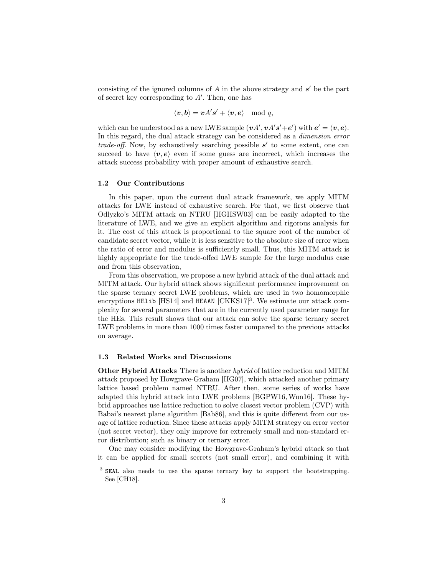consisting of the ignored columns of  $A$  in the above strategy and  $s'$  be the part of secret key corresponding to  $A'$ . Then, one has

$$
\langle \boldsymbol{v}, \boldsymbol{b}\rangle = \boldsymbol{v} A' \boldsymbol{s}' + \langle \boldsymbol{v}, \boldsymbol{e}\rangle \mod q,
$$

which can be understood as a new LWE sample  $(\boldsymbol{v} A', \boldsymbol{v} A' \boldsymbol{s}' + \boldsymbol{e}')$  with  $\boldsymbol{e}' = \langle \boldsymbol{v}, \boldsymbol{e} \rangle$ . In this regard, the dual attack strategy can be considered as a dimension error trade-off. Now, by exhaustively searching possible  $s'$  to some extent, one can succeed to have  $\langle v, e \rangle$  even if some guess are incorrect, which increases the attack success probability with proper amount of exhaustive search.

#### 1.2 Our Contributions

In this paper, upon the current dual attack framework, we apply MITM attacks for LWE instead of exhaustive search. For that, we first observe that Odlyzko's MITM attack on NTRU [HGHSW03] can be easily adapted to the literature of LWE, and we give an explicit algorithm and rigorous analysis for it. The cost of this attack is proportional to the square root of the number of candidate secret vector, while it is less sensitive to the absolute size of error when the ratio of error and modulus is sufficiently small. Thus, this MITM attack is highly appropriate for the trade-offed LWE sample for the large modulus case and from this observation,

From this observation, we propose a new hybrid attack of the dual attack and MITM attack. Our hybrid attack shows significant performance improvement on the sparse ternary secret LWE problems, which are used in two homomorphic encryptions HElib [HS14] and HEAAN [CKKS17]<sup>3</sup>. We estimate our attack complexity for several parameters that are in the currently used parameter range for the HEs. This result shows that our attack can solve the sparse ternary secret LWE problems in more than 1000 times faster compared to the previous attacks on average.

### 1.3 Related Works and Discussions

Other Hybrid Attacks There is another *hybrid* of lattice reduction and MITM attack proposed by Howgrave-Graham [HG07], which attacked another primary lattice based problem named NTRU. After then, some series of works have adapted this hybrid attack into LWE problems [BGPW16, Wun16]. These hybrid approaches use lattice reduction to solve closest vector problem (CVP) with Babai's nearest plane algorithm [Bab86], and this is quite different from our usage of lattice reduction. Since these attacks apply MITM strategy on error vector (not secret vector), they only improve for extremely small and non-standard error distribution; such as binary or ternary error.

One may consider modifying the Howgrave-Graham's hybrid attack so that it can be applied for small secrets (not small error), and combining it with

<sup>&</sup>lt;sup>3</sup> SEAL also needs to use the sparse ternary key to support the bootstrapping. See [CH18].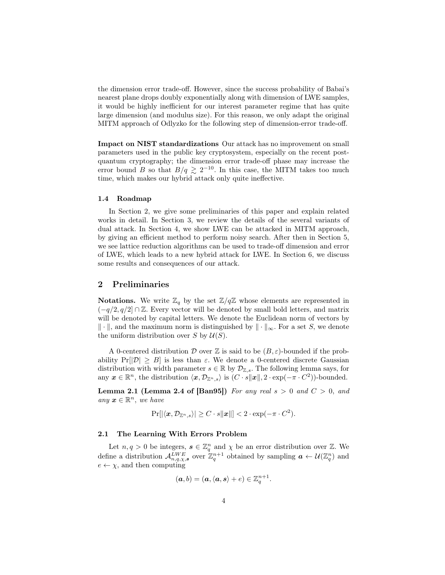the dimension error trade-off. However, since the success probability of Babai's nearest plane drops doubly exponentially along with dimension of LWE samples, it would be highly inefficient for our interest parameter regime that has quite large dimension (and modulus size). For this reason, we only adapt the original MITM approach of Odlyzko for the following step of dimension-error trade-off.

Impact on NIST standardizations Our attack has no improvement on small parameters used in the public key cryptosystem, especially on the recent postquantum cryptography; the dimension error trade-off phase may increase the error bound B so that  $B/q \ge 2^{-10}$ . In this case, the MITM takes too much time, which makes our hybrid attack only quite ineffective.

#### 1.4 Roadmap

In Section 2, we give some preliminaries of this paper and explain related works in detail. In Section 3, we review the details of the several variants of dual attack. In Section 4, we show LWE can be attacked in MITM approach, by giving an efficient method to perform noisy search. After then in Section 5, we see lattice reduction algorithms can be used to trade-off dimension and error of LWE, which leads to a new hybrid attack for LWE. In Section 6, we discuss some results and consequences of our attack.

## 2 Preliminaries

**Notations.** We write  $\mathbb{Z}_q$  by the set  $\mathbb{Z}/q\mathbb{Z}$  whose elements are represented in  $(-q/2, q/2] \cap \mathbb{Z}$ . Every vector will be denoted by small bold letters, and matrix will be denoted by capital letters. We denote the Euclidean norm of vectors by  $\Vert \cdot \Vert$ , and the maximum norm is distinguished by  $\Vert \cdot \Vert_{\infty}$ . For a set S, we denote the uniform distribution over S by  $\mathcal{U}(S)$ .

A 0-centered distribution D over Z is said to be  $(B, \varepsilon)$ -bounded if the probability  $Pr[|\mathcal{D}| \geq B]$  is less than  $\varepsilon$ . We denote a 0-centered discrete Gaussian distribution with width parameter  $s \in \mathbb{R}$  by  $\mathcal{D}_{\mathbb{Z},s}$ . The following lemma says, for any  $\boldsymbol{x} \in \mathbb{R}^n$ , the distribution  $\langle \boldsymbol{x}, \mathcal{D}_{\mathbb{Z}^n, s} \rangle$  is  $(C \cdot s \|\boldsymbol{x}\|, 2 \cdot \exp(-\pi \cdot C^2))$ -bounded.

**Lemma 2.1 (Lemma 2.4 of [Ban95])** For any real  $s > 0$  and  $C > 0$ , and any  $\boldsymbol{x} \in \mathbb{R}^n$ , we have

$$
\Pr[|\langle \boldsymbol{x}, \mathcal{D}_{\mathbb{Z}^n, s}\rangle| \ge C \cdot s \|\boldsymbol{x}\|] < 2 \cdot \exp(-\pi \cdot C^2).
$$

#### 2.1 The Learning With Errors Problem

Let  $n, q > 0$  be integers,  $s \in \mathbb{Z}_q^n$  and  $\chi$  be an error distribution over  $\mathbb{Z}$ . We define a distribution  $\mathcal{A}_{n,q,\chi,s}^{LWE}$  over  $\mathbb{Z}_q^{n+1}$  obtained by sampling  $\boldsymbol{a} \leftarrow \mathcal{U}(\mathbb{Z}_q^n)$  and  $e \leftarrow \chi$ , and then computing

$$
(\boldsymbol{a},b)=(\boldsymbol{a},\langle \boldsymbol{a},\boldsymbol{s}\rangle +e)\in\mathbb{Z}_q^{n+1}.
$$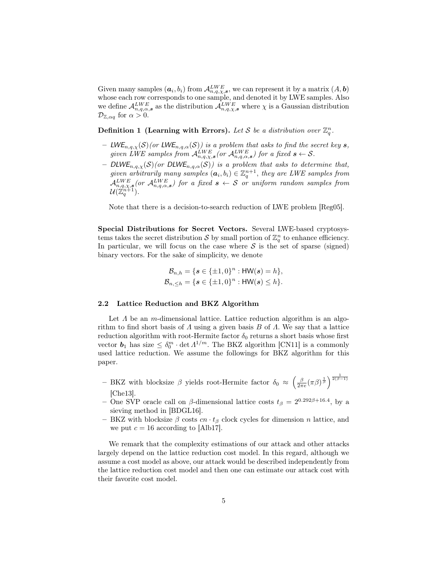Given many samples  $(a_i, b_i)$  from  $\mathcal{A}_{n,q,\chi,s}^{LWE}$ , we can represent it by a matrix  $(A, b)$ whose each row corresponds to one sample, and denoted it by LWE samples. Also we define  $\mathcal{A}_{n,q,\alpha,s}^{LWE}$  as the distribution  $\mathcal{A}_{n,q,\chi,s}^{LWE}$  where  $\chi$  is a Gaussian distribution  $\mathcal{D}_{\mathbb{Z},\alpha q}$  for  $\alpha > 0$ .

Definition 1 (Learning with Errors). Let S be a distribution over  $\mathbb{Z}_q^n$ .

- LWE<sub>n,q, $\chi(S)$ (or LWE<sub>n,q, $\alpha(S)$ ) is a problem that asks to find the secret key s,</sub></sub> given LWE samples from  $\mathcal{A}_{n,q,\chi,s}^{LWE}$  (or  $\mathcal{A}_{n,q,\alpha,s}^{LWE}$ ) for a fixed  $s \leftarrow S$ .
- DLWE<sub>n,q, $\chi(S)$ (or DLWE<sub>n,q, $\alpha(S)$ ) is a problem that asks to determine that,</sub></sub> given arbitrarily many samples  $(a_i, b_i) \in \mathbb{Z}_q^{n+1}$ , they are LWE samples from  $\mathcal{A}_{n,q,\chi,s}^{LWE}(or \mathcal{A}_{n,q,\alpha,s}^{LWE})$  for a fixed  $s \leftarrow S$  or uniform random samples from  $\mathcal{U}(\mathbb{Z}_q^{n+1})$ .

Note that there is a decision-to-search reduction of LWE problem [Reg05].

Special Distributions for Secret Vectors. Several LWE-based cryptosystems takes the secret distribution S by small portion of  $\mathbb{Z}_q^n$  to enhance efficiency. In particular, we will focus on the case where  $\mathcal S$  is the set of sparse (signed) binary vectors. For the sake of simplicity, we denote

$$
\mathcal{B}_{n,h} = \{ s \in \{\pm 1, 0\}^n : \mathsf{HW}(s) = h \}, \n\mathcal{B}_{n,\leq h} = \{ s \in \{\pm 1, 0\}^n : \mathsf{HW}(s) \leq h \}.
$$

### 2.2 Lattice Reduction and BKZ Algorithm

Let  $\Lambda$  be an m-dimensional lattice. Lattice reduction algorithm is an algorithm to find short basis of  $\Lambda$  using a given basis  $B$  of  $\Lambda$ . We say that a lattice reduction algorithm with root-Hermite factor  $\delta_0$  returns a short basis whose first vector  $b_1$  has size  $\leq \delta_0^m \cdot \det \Lambda^{1/m}$ . The BKZ algorithm [CN11] is a commonly used lattice reduction. We assume the followings for BKZ algorithm for this paper.

- BKZ with blocksize β yields root-Hermite factor  $\delta_0 \approx \left(\frac{\beta}{2\pi e} (\pi \beta)^{\frac{1}{\beta}}\right)^{\frac{1}{2(\beta-1)}}$ [Che13].
- One SVP oracle call on  $\beta$ -dimensional lattice costs  $t_{\beta} = 2^{0.292\beta + 16.4}$ , by a sieving method in [BDGL16].
- BKZ with blocksize  $\beta$  costs  $cn \cdot t_\beta$  clock cycles for dimension n lattice, and we put  $c = 16$  according to [Alb17].

We remark that the complexity estimations of our attack and other attacks largely depend on the lattice reduction cost model. In this regard, although we assume a cost model as above, our attack would be described independently from the lattice reduction cost model and then one can estimate our attack cost with their favorite cost model.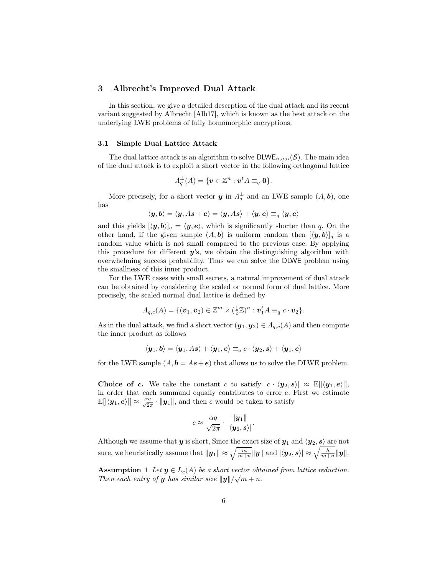### 3 Albrecht's Improved Dual Attack

In this section, we give a detailed descrption of the dual attack and its recent variant suggested by Albrecht [Alb17], which is known as the best attack on the underlying LWE problems of fully homomorphic encryptions.

#### 3.1 Simple Dual Lattice Attack

The dual lattice attack is an algorithm to solve  $\text{DLWE}_{n,q,\alpha}(\mathcal{S})$ . The main idea of the dual attack is to exploit a short vector in the following orthogonal lattice

$$
\Lambda_q^{\perp}(A) = \{ \boldsymbol{v} \in \mathbb{Z}^n : \boldsymbol{v}^t A \equiv_q \boldsymbol{0} \}.
$$

More precisely, for a short vector  $y$  in  $\Lambda_q^{\perp}$  and an LWE sample  $(A, b)$ , one has

$$
\langle \boldsymbol{y}, \boldsymbol{b}\rangle = \langle \boldsymbol{y}, A\boldsymbol{s} + \boldsymbol{e}\rangle = \langle \boldsymbol{y}, A\boldsymbol{s}\rangle + \langle \boldsymbol{y}, \boldsymbol{e}\rangle \equiv_q \langle \boldsymbol{y}, \boldsymbol{e}\rangle
$$

and this yields  $[\langle y, b \rangle]_q = \langle y, e \rangle$ , which is significantly shorter than q. On the other hand, if the given sample  $(A, b)$  is uniform random then  $[\langle y, b \rangle]_q$  is a random value which is not small compared to the previous case. By applying this procedure for different  $y$ 's, we obtain the distinguishing algorithm with overwhelming success probability. Thus we can solve the DLWE problem using the smallness of this inner product.

For the LWE cases with small secrets, a natural improvement of dual attack can be obtained by considering the scaled or normal form of dual lattice. More precisely, the scaled normal dual lattice is defined by

$$
\Lambda_{q,c}(A) = \{(\boldsymbol{v}_1, \boldsymbol{v}_2) \in \mathbb{Z}^m \times (\frac{1}{c}\mathbb{Z})^n : \boldsymbol{v}_1^t A \equiv_q c \cdot \boldsymbol{v}_2\}.
$$

As in the dual attack, we find a short vector  $(\mathbf{y}_1, \mathbf{y}_2) \in A_{q,c}(A)$  and then compute the inner product as follows

$$
\langle \boldsymbol{y}_1, \boldsymbol{b} \rangle = \langle \boldsymbol{y}_1, A\boldsymbol{s}\rangle + \langle \boldsymbol{y}_1, \boldsymbol{e} \rangle \equiv_q c \cdot \langle \boldsymbol{y}_2, \boldsymbol{s}\rangle + \langle \boldsymbol{y}_1, \boldsymbol{e}\rangle
$$

for the LWE sample  $(A, b = As + e)$  that allows us to solve the DLWE problem.

Choice of c. We take the constant c to satisfy  $|c \cdot \langle y_2, s \rangle| \approx E[|\langle y_1, e \rangle|],$ in order that each summand equally contributes to error  $e$ . First we estimate  $\mathbb{E}[|\langle \boldsymbol{y}_1, \boldsymbol{e}\rangle|] \approx \frac{\alpha q}{\sqrt{2\pi}} \cdot \|\boldsymbol{y}_1\|$ , and then c would be taken to satisfy

$$
c \approx \frac{\alpha q}{\sqrt{2\pi}} \cdot \frac{\|\boldsymbol{y}_1\|}{|\langle \boldsymbol{y}_2, \boldsymbol{s} \rangle|}.
$$

Although we assume that y is short, Since the exact size of  $y_1$  and  $\langle y_2, s \rangle$  are not sure, we heuristically assume that  $\|\boldsymbol{y}_1\| \approx \sqrt{\frac{m}{m+n}} \|\boldsymbol{y}\|$  and  $|\langle \boldsymbol{y}_2, \boldsymbol{s} \rangle| \approx \sqrt{\frac{h}{m+n}} \|\boldsymbol{y}\|.$ 

Assumption 1 Let  $y \in L_c(A)$  be a short vector obtained from lattice reduction. Then each entry of **y** has similar size  $\|\mathbf{y}\|/\sqrt{m+n}$ .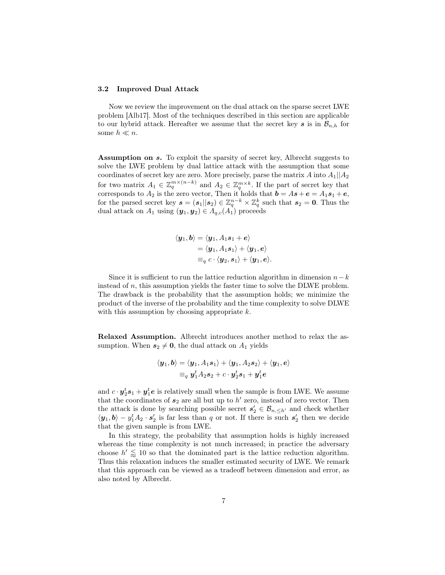#### 3.2 Improved Dual Attack

Now we review the improvement on the dual attack on the sparse secret LWE problem [Alb17]. Most of the techniques described in this section are applicable to our hybrid attack. Hereafter we assume that the secret key s is in  $\mathcal{B}_{n,h}$  for some  $h \ll n$ .

Assumption on s. To exploit the sparsity of secret key, Albrecht suggests to solve the LWE problem by dual lattice attack with the assumption that some coordinates of secret key are zero. More precisely, parse the matrix A into  $A_1||A_2$ for two matrix  $A_1 \in \mathbb{Z}_q^{m \times (n-k)}$  and  $A_2 \in \mathbb{Z}_q^{m \times k}$ . If the part of secret key that corresponds to  $A_2$  is the zero vector, Then it holds that  $\mathbf{b} = A\mathbf{s} + \mathbf{e} = A_1\mathbf{s}_1 + \mathbf{e}$ , for the parsed secret key  $s = (s_1||s_2) \in \mathbb{Z}_q^{n-k} \times \mathbb{Z}_q^k$  such that  $s_2 = 0$ . Thus the dual attack on  $A_1$  using  $(\mathbf{y}_1, \mathbf{y}_2) \in A_{q,c}(A_1)$  proceeds

$$
\langle \boldsymbol{y}_1, \boldsymbol{b} \rangle = \langle \boldsymbol{y}_1, A_1\boldsymbol{s}_1 + \boldsymbol{e} \rangle \\ = \langle \boldsymbol{y}_1, A_1\boldsymbol{s}_1 \rangle + \langle \boldsymbol{y}_1, \boldsymbol{e} \rangle \\ \equiv_q c \cdot \langle \boldsymbol{y}_2, \boldsymbol{s}_1 \rangle + \langle \boldsymbol{y}_1, \boldsymbol{e} \rangle.
$$

Since it is sufficient to run the lattice reduction algorithm in dimension  $n-k$ instead of  $n$ , this assumption yields the faster time to solve the DLWE problem. The drawback is the probability that the assumption holds; we minimize the product of the inverse of the probability and the time complexity to solve DLWE with this assumption by choosing appropriate  $k$ .

Relaxed Assumption. Albrecht introduces another method to relax the assumption. When  $s_2 \neq 0$ , the dual attack on  $A_1$  yields

$$
\langle \mathbf{y}_1, \mathbf{b} \rangle = \langle \mathbf{y}_1, A_1 \mathbf{s}_1 \rangle + \langle \mathbf{y}_1, A_2 \mathbf{s}_2 \rangle + \langle \mathbf{y}_1, \mathbf{e} \rangle
$$
  
=<sub>q</sub>  $\mathbf{y}_1^t A_2 \mathbf{s}_2 + c \cdot \mathbf{y}_2^t \mathbf{s}_1 + \mathbf{y}_1^t \mathbf{e}$ 

and  $c \cdot y_2^t s_1 + y_1^t e$  is relatively small when the sample is from LWE. We assume that the coordinates of  $s_2$  are all but up to  $h'$  zero, instead of zero vector. Then the attack is done by searching possible secret  $s_2 \in \mathcal{B}_{n, \leq h'}$  and check whether  $\langle y_1, b \rangle - y_1^t A_2 \cdot s_2'$  is far less than q or not. If there is such  $s_2'$  then we decide that the given sample is from LWE.

In this strategy, the probability that assumption holds is highly increased whereas the time complexity is not much increased; in practice the adversary choose  $h' \leq 10$  so that the dominated part is the lattice reduction algorithm. Thus this relaxation induces the smaller estimated security of LWE. We remark that this approach can be viewed as a tradeoff between dimension and error, as also noted by Albrecht.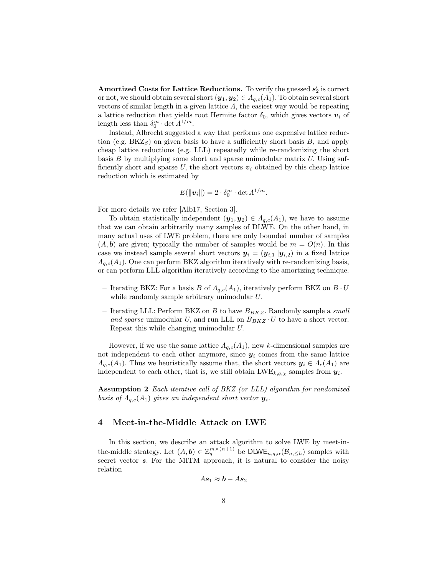Amortized Costs for Lattice Reductions. To verify the guessed  $s_2'$  is correct or not, we should obtain several short  $(\mathbf{y}_1, \mathbf{y}_2) \in A_{q,c}(A_1)$ . To obtain several short vectors of similar length in a given lattice  $\Lambda$ , the easiest way would be repeating a lattice reduction that yields root Hermite factor  $\delta_0$ , which gives vectors  $v_i$  of length less than  $\delta_0^m \cdot \det \Lambda^{1/m}$ .

Instead, Albrecht suggested a way that performs one expensive lattice reduction (e.g.  $BKZ_\beta$ ) on given basis to have a sufficiently short basis B, and apply cheap lattice reductions (e.g. LLL) repeatedly while re-randomizing the short basis  $B$  by multiplying some short and sparse unimodular matrix  $U$ . Using sufficiently short and sparse U, the short vectors  $v_i$  obtained by this cheap lattice reduction which is estimated by

$$
E(\|\boldsymbol{v}_i\|) = 2 \cdot \delta_0^m \cdot \det \Lambda^{1/m}.
$$

For more details we refer [Alb17, Section 3].

To obtain statistically independent  $(\mathbf{y}_1, \mathbf{y}_2) \in A_{q,c}(A_1)$ , we have to assume that we can obtain arbitrarily many samples of DLWE. On the other hand, in many actual uses of LWE problem, there are only bounded number of samples  $(A, b)$  are given; typically the number of samples would be  $m = O(n)$ . In this case we instead sample several short vectors  $y_i = (y_{i,1}||y_{i,2})$  in a fixed lattice  $A_{q,c}(A_1)$ . One can perform BKZ algorithm iteratively with re-randomizing basis, or can perform LLL algorithm iteratively according to the amortizing technique.

- Iterating BKZ: For a basis B of  $A_{q,c}(A_1)$ , iteratively perform BKZ on  $B \cdot U$ while randomly sample arbitrary unimodular U.
- Iterating LLL: Perform BKZ on  $B$  to have  $B_{B K Z}$ . Randomly sample a *small* and sparse unimodular U, and run LLL on  $B_{B K Z} \cdot U$  to have a short vector. Repeat this while changing unimodular U.

However, if we use the same lattice  $\Lambda_{q,c}(A_1)$ , new k-dimensional samples are not independent to each other anymore, since  $y_i$  comes from the same lattice  $\Lambda_{q,c}(A_1)$ . Thus we heuristically assume that, the short vectors  $y_i \in \Lambda_c(A_1)$  are independent to each other, that is, we still obtain  $LWE_{k,q,\chi}$  samples from  $y_i$ .

Assumption 2 Each iterative call of BKZ (or LLL) algorithm for randomized basis of  $A_{q,c}(A_1)$  gives an independent short vector  $y_i$ .

### 4 Meet-in-the-Middle Attack on LWE

In this section, we describe an attack algorithm to solve LWE by meet-inthe-middle strategy. Let  $(A, b) \in \mathbb{Z}_q^{m \times (n+1)}$  be DLWE<sub>n,q, $\alpha(\mathcal{B}_{n, \leq h})$  samples with</sub> secret vector s. For the MITM approach, it is natural to consider the noisy relation

$$
As_1\approx \bm{b}-As_2
$$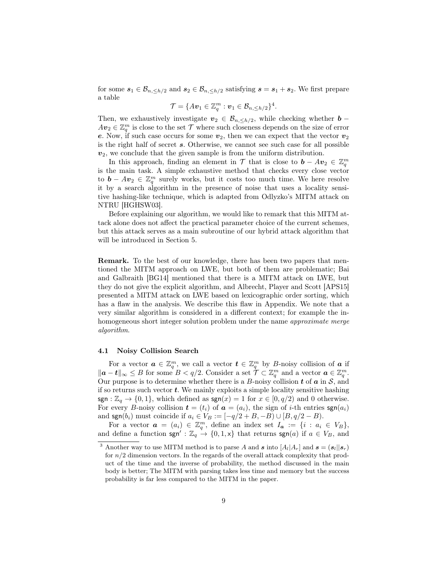for some  $s_1 \in \mathcal{B}_{n, \langle h/2 \rangle}$  and  $s_2 \in \mathcal{B}_{n, \langle h/2 \rangle}$  satisfying  $s = s_1 + s_2$ . We first prepare a table

$$
\mathcal{T} = \{Av_1 \in \mathbb{Z}_q^m : \boldsymbol{v}_1 \in \mathcal{B}_{n, \leq h/2}\}^4.
$$

Then, we exhaustively investigate  $v_2 \in \mathcal{B}_{n, \leq h/2}$ , while checking whether **b** −  $Av_2 \in \mathbb{Z}_q^m$  is close to the set  $\mathcal T$  where such closeness depends on the size of error e. Now, if such case occurs for some  $v_2$ , then we can expect that the vector  $v_2$ is the right half of secret s. Otherwise, we cannot see such case for all possible  $v_2$ , we conclude that the given sample is from the uniform distribution.

In this approach, finding an element in  $\mathcal T$  that is close to  $\mathbf{b} - A\mathbf{v}_2 \in \mathbb{Z}_q^m$ is the main task. A simple exhaustive method that checks every close vector to  $\mathbf{b} - A\mathbf{v}_2 \in \mathbb{Z}_q^m$  surely works, but it costs too much time. We here resolve it by a search algorithm in the presence of noise that uses a locality sensitive hashing-like technique, which is adapted from Odlyzko's MITM attack on NTRU [HGHSW03].

Before explaining our algorithm, we would like to remark that this MITM attack alone does not affect the practical parameter choice of the current schemes, but this attack serves as a main subroutine of our hybrid attack algorithm that will be introduced in Section 5.

Remark. To the best of our knowledge, there has been two papers that mentioned the MITM approach on LWE, but both of them are problematic; Bai and Galbraith [BG14] mentioned that there is a MITM attack on LWE, but they do not give the explicit algorithm, and Albrecht, Player and Scott [APS15] presented a MITM attack on LWE based on lexicographic order sorting, which has a flaw in the analysis. We describe this flaw in Appendix. We note that a very similar algorithm is considered in a different context; for example the inhomogeneous short integer solution problem under the name *approximate merge* algorithm.

#### 4.1 Noisy Collision Search

For a vector  $a \in \mathbb{Z}_q^m$ , we call a vector  $t \in \mathbb{Z}_q^m$  by B-noisy collision of a if  $\|\boldsymbol{a}-\boldsymbol{t}\|_{\infty} \leq B$  for some  $B < q/2$ . Consider a set  $\mathcal{T} \subset \mathbb{Z}_q^m$  and a vector  $\boldsymbol{a} \in \mathbb{Z}_q^m$ . Our purpose is to determine whether there is a  $B$ -noisy collision  $t$  of  $a$  in  $S$ , and if so returns such vector  $t$ . We mainly exploits a simple locality sensitive hashing sgn :  $\mathbb{Z}_q \to \{0,1\}$ , which defined as sgn(x) = 1 for  $x \in [0, q/2)$  and 0 otherwise. For every B-noisy collision  $\mathbf{t} = (t_i)$  of  $\mathbf{a} = (a_i)$ , the sign of *i*-th entries  $\text{sgn}(a_i)$ and  $\text{sgn}(b_i)$  must coincide if  $a_i \in V_B := [-q/2 + B, -B) \cup [B, q/2 - B)$ .

For a vector  $\boldsymbol{a} = (a_i) \in \mathbb{Z}_q^m$ , define an index set  $I_{\boldsymbol{a}} := \{i : a_i \in V_B\},\$ and define a function sgn' :  $\mathbb{Z}_q \to \{0, 1, x\}$  that returns sgn(a) if  $a \in V_B$ , and

<sup>&</sup>lt;sup>3</sup> Another way to use MITM method is to parse A and s into  $[A_l|A_r]$  and  $s = (s_l||s_r)$ for  $n/2$  dimension vectors. In the regards of the overall attack complexity that product of the time and the inverse of probability, the method discussed in the main body is better; The MITM with parsing takes less time and memory but the success probability is far less compared to the MITM in the paper.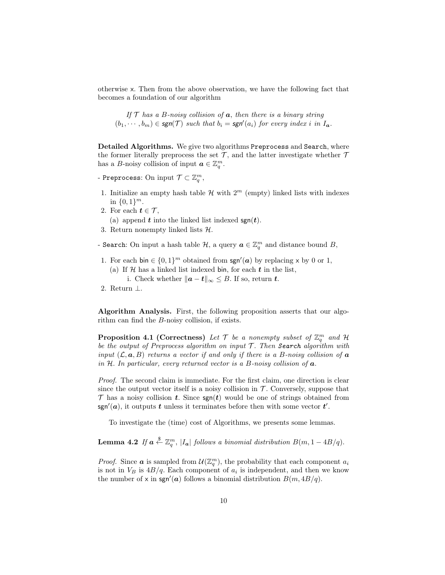otherwise x. Then from the above observation, we have the following fact that becomes a foundation of our algorithm

If 
$$
T
$$
 has a  $B$ -noisy collision of  $a$ , then there is a binary string  $(b_1, \dots, b_m) \in \text{sgn}(\mathcal{T})$  such that  $b_i = \text{sgn}'(a_i)$  for every index  $i$  in  $I_a$ .

Detailed Algorithms. We give two algorithms Preprocess and Search, where the former literally preprocess the set  $\mathcal{T}$ , and the latter investigate whether  $\mathcal{T}$ has a B-noisy collision of input  $a \in \mathbb{Z}_q^m$ .

- Preprocess: On input  $\mathcal{T} \subset \mathbb{Z}_q^m,$
- 1. Initialize an empty hash table  $\mathcal H$  with  $2^m$  (empty) linked lists with indexes in  $\{0,1\}^m$ .
- 2. For each  $t \in \mathcal{T}$ ,

(a) append  $t$  into the linked list indexed  $sgn(t)$ .

- 3. Return nonempty linked lists H.
- Search: On input a hash table  $\mathcal{H}$ , a query  $\boldsymbol{a} \in \mathbb{Z}_q^m$  and distance bound B,
- 1. For each bin  $\in \{0,1\}^m$  obtained from  $\text{sgn}'(a)$  by replacing x by 0 or 1,
	- (a) If  $H$  has a linked list indexed bin, for each  $t$  in the list, i. Check whether  $||a - t||_{\infty} \leq B$ . If so, return t.
- 2. Return ⊥.

Algorithm Analysis. First, the following proposition asserts that our algorithm can find the B-noisy collision, if exists.

**Proposition 4.1 (Correctness)** Let  $\mathcal{T}$  be a nonempty subset of  $\mathbb{Z}_q^m$  and  $\mathcal{H}$ be the output of Preprocess algorithm on input  $T$ . Then Search algorithm with input  $(\mathcal{L}, \mathbf{a}, B)$  returns a vector if and only if there is a B-noisy collision of  $\mathbf{a}$ in H. In particular, every returned vector is a B-noisy collision of  $a$ .

Proof. The second claim is immediate. For the first claim, one direction is clear since the output vector itself is a noisy collision in  $\mathcal T$ . Conversely, suppose that  $\mathcal T$  has a noisy collision t. Since  $\text{sgn}(t)$  would be one of strings obtained from sgn'(a), it outputs t unless it terminates before then with some vector  $t'$ .

To investigate the (time) cost of Algorithms, we presents some lemmas.

**Lemma 4.2** If  $a \stackrel{\$}{\leftarrow} \mathbb{Z}_q^m$ ,  $|I_a|$  follows a binomial distribution  $B(m, 1 - 4B/q)$ .

*Proof.* Since **a** is sampled from  $\mathcal{U}(\mathbb{Z}_q^m)$ , the probability that each component  $a_i$ is not in  $V_B$  is  $4B/q$ . Each component of  $a_i$  is independent, and then we know the number of x in sgn'(a) follows a binomial distribution  $B(m, 4B/q)$ .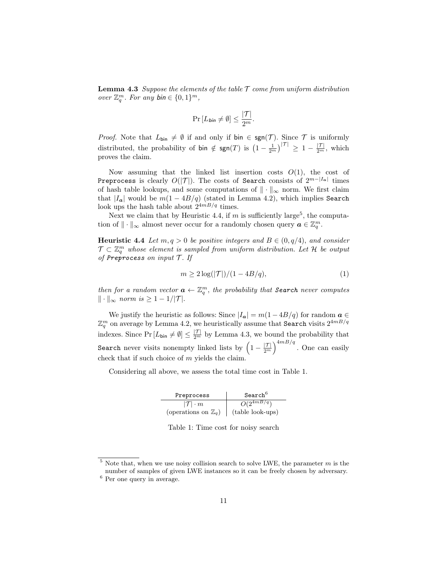**Lemma 4.3** Suppose the elements of the table  $\mathcal T$  come from uniform distribution over  $\mathbb{Z}_q^m$ . For any  $\mathsf{bin} \in \{0,1\}^m$ ,

$$
\Pr\left[L_{\text{bin}} \neq \emptyset\right] \leq \frac{|\mathcal{T}|}{2^m}.
$$

*Proof.* Note that  $L_{\text{bin}} \neq \emptyset$  if and only if  $\text{bin} \in \text{sgn}(\mathcal{T})$ . Since  $\mathcal T$  is uniformly distributed, the probability of bin  $\notin \text{sgn}(T)$  is  $\left(1 - \frac{1}{2^m}\right)^{|\mathcal{T}|} \geq 1 - \frac{|\mathcal{T}|}{2^m}$ , which proves the claim.

Now assuming that the linked list insertion costs  $O(1)$ , the cost of Preprocess is clearly  $O(|\mathcal{T}|).$  The costs of Search consists of  $2^{m-|I_{\bm{a}}|}$  times of hash table lookups, and some computations of  $\|\cdot\|_{\infty}$  norm. We first claim that  $|I_a|$  would be  $m(1 - 4B/q)$  (stated in Lemma 4.2), which implies Search look ups the hash table about  $2^{4m}$ <sup>Ha</sup> times.

Next we claim that by Heuristic 4.4, if m is sufficiently large<sup>5</sup>, the computation of  $\|\cdot\|_{\infty}$  almost never occur for a randomly chosen query  $a \in \mathbb{Z}_q^m$ .

**Heuristic 4.4** Let  $m, q > 0$  be positive integers and  $B \in (0, q/4)$ , and consider  $\mathcal{T} \subset \mathbb{Z}_q^m$  whose element is sampled from uniform distribution. Let H be output of Preprocess on input  $\mathcal T$ . If

$$
m \ge 2\log(|\mathcal{T}|)/(1 - 4B/q),\tag{1}
$$

then for a random vector  $\boldsymbol{a} \leftarrow \mathbb{Z}_q^m$ , the probability that **Search** never computes  $\|\cdot\|_{\infty}$  norm is  $\geq 1 - 1/|\mathcal{T}|$ .

We justify the heuristic as follows: Since  $|I_a| = m(1 - 4B/q)$  for random  $a \in$  $\mathbb{Z}_q^m$  on average by Lemma 4.2, we heuristically assume that Search visits  $2^{4mB/q}$ indexes. Since  $Pr[L_{\text{bin}} \neq \emptyset] \leq \frac{|\mathcal{T}|}{2^m}$  by Lemma 4.3, we bound the probability that Search never visits nonempty linked lists by  $\left(1 - \frac{|\mathcal{T}|}{2^m}\right)^{4mB/q}$ . One can easily check that if such choice of  $m$  yields the claim.

Considering all above, we assess the total time cost in Table 1.

| Preprocess                      | Search <sup>b</sup>       |
|---------------------------------|---------------------------|
| $ T  \cdot m$                   | $\overline{O(2^{4mB/q})}$ |
| (operations on $\mathbb{Z}_q$ ) | (table look-ups)          |

Table 1: Time cost for noisy search

 $5$  Note that, when we use noisy collision search to solve LWE, the parameter  $m$  is the number of samples of given LWE instances so it can be freely chosen by adversary.

<sup>6</sup> Per one query in average.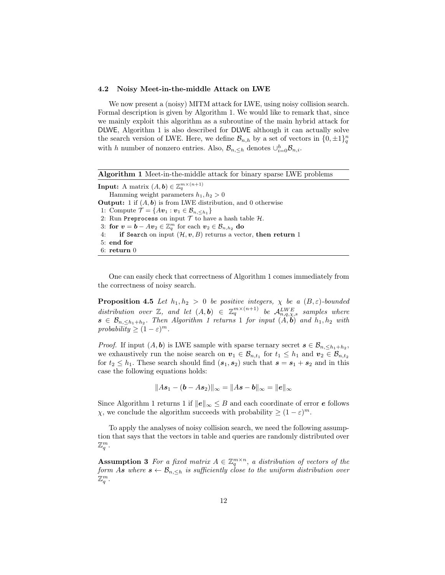### 4.2 Noisy Meet-in-the-middle Attack on LWE

We now present a (noisy) MITM attack for LWE, using noisy collision search. Formal description is given by Algorithm 1. We would like to remark that, since we mainly exploit this algorithm as a subroutine of the main hybrid attack for DLWE, Algorithm 1 is also described for DLWE although it can actually solve the search version of LWE. Here, we define  $\mathcal{B}_{n,h}$  by a set of vectors in  $\{0,\pm 1\}^n_q$ with h number of nonzero entries. Also,  $\mathcal{B}_{n,\leq h}$  denotes  $\cup_{i=0}^h \mathcal{B}_{n,i}$ .

|  | Algorithm 1 Meet-in-the-middle attack for binary sparse LWE problems |  |  |  |  |
|--|----------------------------------------------------------------------|--|--|--|--|
|--|----------------------------------------------------------------------|--|--|--|--|

**Input:** A matrix  $(A, b) \in \mathbb{Z}_q^{m \times (n+1)}$ Hamming weight parameters  $h_1, h_2 > 0$ **Output:** 1 if  $(A, b)$  is from LWE distribution, and 0 otherwise 1: Compute  $\mathcal{T} = \{Av_1 : v_1 \in \mathcal{B}_{n, \leq h_1}\}\$ 2: Run Preprocess on input  $T$  to have a hash table  $H$ . 3: for  $\boldsymbol{v} = \boldsymbol{b} - A\boldsymbol{v}_2 \in \mathbb{Z}_q^m$  for each  $\boldsymbol{v}_2 \in \mathcal{B}_{n,h_2}$  do 4: if Search on input  $(\mathcal{H}, v, B)$  returns a vector, then return 1 5: end for 6: return 0

One can easily check that correctness of Algorithm 1 comes immediately from the correctness of noisy search.

**Proposition 4.5** Let  $h_1, h_2 > 0$  be positive integers,  $\chi$  be a  $(B, \varepsilon)$ -bounded distribution over  $\mathbb{Z}$ , and let  $(A, b) \in \mathbb{Z}_q^{m \times (n+1)}$  be  $\mathcal{A}_{n,q,\chi,s}^{LWE}$  samples where  $s \in \mathcal{B}_{n,\leq h_1+h_2}$ . Then Algorithm 1 returns 1 for input  $(A,\mathbf{b})$  and  $h_1,h_2$  with probability  $\geq (1 - \varepsilon)^m$ .

*Proof.* If input  $(A, b)$  is LWE sample with sparse ternary secret  $s \in \mathcal{B}_{n, \leq h_1+h_2}$ , we exhaustively run the noise search on  $v_1 \in \mathcal{B}_{n,t_1}$  for  $t_1 \leq h_1$  and  $v_2 \in \mathcal{B}_{n,t_2}$ for  $t_2 \leq h_1$ . These search should find  $(s_1, s_2)$  such that  $s = s_1 + s_2$  and in this case the following equations holds:

 $||As_1 - (b - As_2)||_{\infty} = ||As - b||_{\infty} = ||e||_{\infty}$ 

Since Algorithm 1 returns 1 if  $||e||_{\infty} \leq B$  and each coordinate of error e follows  $\chi$ , we conclude the algorithm succeeds with probability  $\geq (1 - \varepsilon)^m$ .

To apply the analyses of noisy collision search, we need the following assumption that says that the vectors in table and queries are randomly distributed over  $\mathbb{Z}_q^m$ .

**Assumption 3** For a fixed matrix  $A \in \mathbb{Z}_q^{m \times n}$ , a distribution of vectors of the form As where  $s \leftarrow \mathcal{B}_{n,\leq h}$  is sufficiently close to the uniform distribution over  $\mathbb{Z}_q^m.$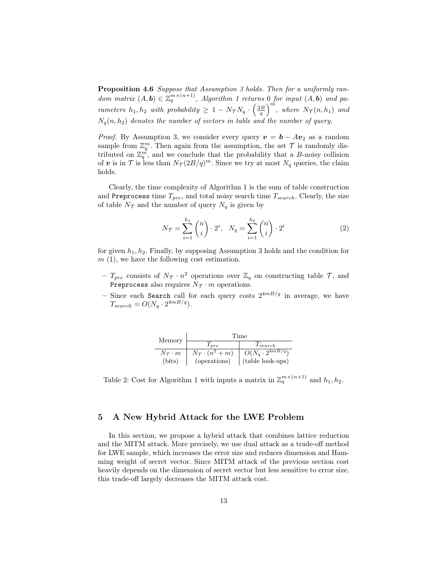Proposition 4.6 Suppose that Assumption 3 holds. Then for a uniformly random matrix  $(A, b) \in \mathbb{Z}_q^{m \times (n+1)}$ , Algorithm 1 returns 0 for input  $(A, b)$  and parameters  $h_1, h_2$  with probability  $\geq 1 - N_{\mathcal{T}} N_q \cdot \left(\frac{2B}{q}\right)^m$ , where  $N_{\mathcal{T}}(n, h_1)$  and  $N_q(n, h_2)$  denotes the number of vectors in table and the number of query.

*Proof.* By Assumption 3, we consider every query  $v = b - Av_2$  as a random sample from  $\mathbb{Z}_q^m$ . Then again from the assumption, the set  $\mathcal T$  is randomly distributed on  $\mathbb{Z}_q^{\vec{m}}$ , and we conclude that the probability that a B-noisy collision of v is in T is less than  $N_{\mathcal{T}}(2B/q)^m$ . Since we try at most  $N_q$  queries, the claim holds.

Clearly, the time complexity of Algorithm 1 is the sum of table construction and Preprocess time  $T_{pre}$ , and total noisy search time  $T_{search}$ . Clearly, the size of table  $N_{\mathcal{T}}$  and the number of query  $N_q$  is given by

$$
N_{\mathcal{T}} = \sum_{i=1}^{h_1} {n \choose i} \cdot 2^i, \quad N_q = \sum_{i=1}^{h_2} {n \choose i} \cdot 2^i \tag{2}
$$

for given  $h_1, h_2$ . Finally, by supposing Assumption 3 holds and the condition for  $m(1)$ , we have the following cost estimation.

- $T_{pre}$  consists of  $N_{\mathcal{T}} \cdot n^2$  operations over  $\mathbb{Z}_q$  on constructing table  $\mathcal{T}$ , and Preprocess also requires  $N_{\mathcal{T}}\cdot m$  operations.
- Since each Search call for each query costs  $2^{4m}$ <sup> $q$ </sup> in average, we have  $T_{search} = O(N_q \cdot 2^{4mB/q}).$

| Memory             | Time                          |                                     |  |  |  |  |
|--------------------|-------------------------------|-------------------------------------|--|--|--|--|
|                    | $T_{pre}$                     | $T_{search}$                        |  |  |  |  |
| $N_{\tau} \cdot m$ | $N_{\mathcal{T}}\cdot(n^2+m)$ | $O(N_q \cdot \overline{2^{4mB/q}})$ |  |  |  |  |
| (bits)             | (operations)                  | (table look-ups)                    |  |  |  |  |

Table 2: Cost for Algorithm 1 with inputs a matrix in  $\mathbb{Z}_q^{m \times (n+1)}$  and  $h_1, h_2$ .

# 5 A New Hybrid Attack for the LWE Problem

In this section, we propose a hybrid attack that combines lattice reduction and the MITM attack. More precisely, we use dual attack as a trade-off method for LWE sample, which increases the error size and reduces dimension and Hamming weight of secret vector. Since MITM attack of the previous section cost heavily depends on the dimension of secret vector but less sensitive to error size, this trade-off largely decreases the MITM attack cost.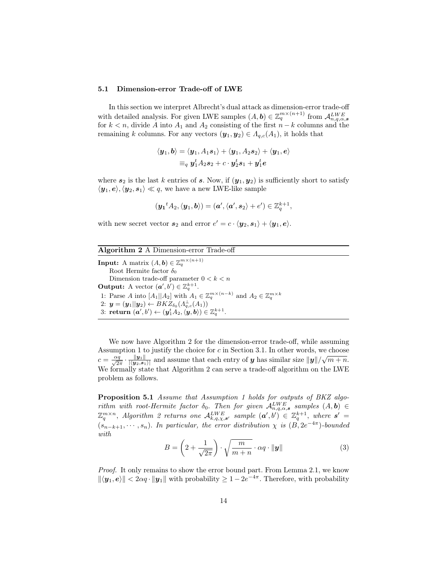#### 5.1 Dimension-error Trade-off of LWE

In this section we interpret Albrecht's dual attack as dimension-error trade-off with detailed analysis. For given LWE samples  $(A, b) \in \mathbb{Z}_q^{m \times (n+1)}$  from  $\mathcal{A}_{n,q,\alpha,s}^{LWE}$ for  $k < n$ , divide A into  $A_1$  and  $A_2$  consisting of the first  $n - k$  columns and the remaining k columns. For any vectors  $(\mathbf{y}_1, \mathbf{y}_2) \in A_{q,c}(A_1)$ , it holds that

$$
\langle \boldsymbol{y}_1, \boldsymbol{b} \rangle = \langle \boldsymbol{y}_1, A_1 \boldsymbol{s}_1 \rangle + \langle \boldsymbol{y}_1, A_2 \boldsymbol{s}_2 \rangle + \langle \boldsymbol{y}_1, \boldsymbol{e} \rangle
$$
  

$$
\equiv_q \boldsymbol{y}_1^t A_2 \boldsymbol{s}_2 + c \cdot \boldsymbol{y}_2^t \boldsymbol{s}_1 + \boldsymbol{y}_1^t \boldsymbol{e}
$$

where  $s_2$  is the last k entries of s. Now, if  $(y_1, y_2)$  is sufficiently short to satisfy  $\langle y_1, e \rangle, \langle y_2, s_1 \rangle \ll q$ , we have a new LWE-like sample

$$
(\mathbf{y_1}^t A_2, \langle \mathbf{y_1}, \mathbf{b} \rangle) = (\mathbf{a}', \langle \mathbf{a}', \mathbf{s_2} \rangle + \mathbf{e}') \in \mathbb{Z}_q^{k+1},
$$

with new secret vector  $s_2$  and error  $e' = c \cdot \langle y_2, s_1 \rangle + \langle y_1, e \rangle$ .

| Algorithm 2 A Dimension-error Trade-off                                                                                                        |
|------------------------------------------------------------------------------------------------------------------------------------------------|
| <b>Input:</b> A matrix $(A, b) \in \mathbb{Z}_q^{m \times (n+1)}$                                                                              |
| Root Hermite factor $\delta_0$                                                                                                                 |
| Dimension trade-off parameter $0 < k < n$                                                                                                      |
| <b>Output:</b> A vector $(a', b') \in \mathbb{Z}_q^{k+1}$ .                                                                                    |
| 1: Parse A into $[A_1  A_2]$ with $A_1 \in \mathbb{Z}_q^{m \times (n-k)}$ and $A_2 \in \mathbb{Z}_q^{m \times k}$                              |
| 2: $y = (y_1  y_2) \leftarrow BKZ_{\delta_0}(A_{a,c}^{\perp}(A_1))$                                                                            |
| 3: return $(\boldsymbol{a}', b') \leftarrow (\boldsymbol{y}_1^t A_2, \langle \boldsymbol{y}, \boldsymbol{b} \rangle) \in \mathbb{Z}_q^{k+1}$ . |

We now have Algorithm 2 for the dimension-error trade-off, while assuming Assumption 1 to justify the choice for  $c$  in Section 3.1. In other words, we choose Example on 1 to justify the choice for c in section 5.1. In other words, we choose<br>  $c = \frac{\alpha q}{\sqrt{2\pi}} \cdot \frac{\|y_1\|}{|\langle y_2, s_1 \rangle|}$  and assume that each entry of y has similar size  $\|y\|/\sqrt{m+n}$ . We formally state that Algorithm 2 can serve a trade-off algorithm on the LWE problem as follows.

Proposition 5.1 Assume that Assumption 1 holds for outputs of BKZ algorithm with root-Hermite factor  $\delta_0$ . Then for given  $\mathcal{A}_{n,q,\alpha,s}^{LWE}$  samples  $(A,\mathbf{b}) \in$  $\mathbb{Z}_q^{m\times n}$ , Algorithm 2 returns one  $\mathcal{A}_{k,q,\chi,s'}^{LWE}$  sample  $(\boldsymbol{a}',b')\in \mathbb{Z}_q^{k+1}$ , where  $s' =$  $(s_{n-k+1}, \dots, s_n)$ . In particular, the error distribution  $\chi$  is  $(B, 2e^{-4\pi})$ -bounded with

$$
B = \left(2 + \frac{1}{\sqrt{2\pi}}\right) \cdot \sqrt{\frac{m}{m+n}} \cdot \alpha q \cdot ||\mathbf{y}|| \tag{3}
$$

Proof. It only remains to show the error bound part. From Lemma 2.1, we know  $\|\langle y_1, e \rangle\| < 2\alpha q \cdot \|y_1\|$  with probability  $\geq 1 - 2e^{-4\pi}$ . Therefore, with probability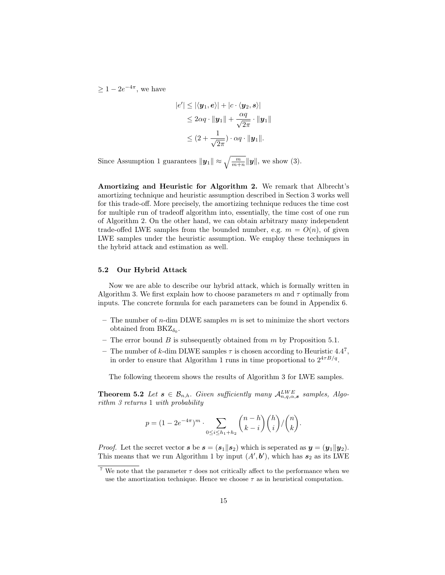$\geq 1-2e^{-4\pi}$ , we have

$$
|e'| \le |\langle \mathbf{y}_1, \mathbf{e} \rangle| + |c \cdot \langle \mathbf{y}_2, \mathbf{s} \rangle|
$$
  
\n
$$
\le 2\alpha q \cdot \|\mathbf{y}_1\| + \frac{\alpha q}{\sqrt{2\pi}} \cdot \|\mathbf{y}_1\|
$$
  
\n
$$
\le (2 + \frac{1}{\sqrt{2\pi}}) \cdot \alpha q \cdot \|\mathbf{y}_1\|.
$$

Since Assumption 1 guarantees  $\|\mathbf{y}_1\| \approx \sqrt{\frac{m}{m+n}} \|\mathbf{y}\|$ , we show (3).

Amortizing and Heuristic for Algorithm 2. We remark that Albrecht's amortizing technique and heuristic assumption described in Section 3 works well for this trade-off. More precisely, the amortizing technique reduces the time cost for multiple run of tradeoff algorithm into, essentially, the time cost of one run of Algorithm 2. On the other hand, we can obtain arbitrary many independent trade-offed LWE samples from the bounded number, e.g.  $m = O(n)$ , of given LWE samples under the heuristic assumption. We employ these techniques in the hybrid attack and estimation as well.

#### 5.2 Our Hybrid Attack

Now we are able to describe our hybrid attack, which is formally written in Algorithm 3. We first explain how to choose parameters m and  $\tau$  optimally from inputs. The concrete formula for each parameters can be found in Appendix 6.

- The number of  $n$ -dim DLWE samples  $m$  is set to minimize the short vectors obtained from  $BKZ_{\delta_0}$ .
- The error bound  $B$  is subsequently obtained from  $m$  by Proposition 5.1.
- The number of k-dim DLWE samples  $\tau$  is chosen according to Heuristic 4.4<sup>7</sup>, in order to ensure that Algorithm 1 runs in time proportional to  $2^{4\tau B/q}$ .

The following theorem shows the results of Algorithm 3 for LWE samples.

**Theorem 5.2** Let  $s \in \mathcal{B}_{n,h}$ . Given sufficiently many  $\mathcal{A}_{n,q,\alpha,s}^{LWE}$  samples, Algorithm 3 returns 1 with probability

$$
p = (1 - 2e^{-4\pi})^m \cdot \sum_{0 \le i \le h_1 + h_2} \binom{n - h}{k - i} \binom{h}{i} / \binom{n}{k}.
$$

*Proof.* Let the secret vector  $s$  be  $s = (s_1||s_2)$  which is seperated as  $y = (y_1||y_2)$ . This means that we run Algorithm 1 by input  $(A', b')$ , which has  $s_2$  as its LWE

<sup>&</sup>lt;sup>7</sup> We note that the parameter  $\tau$  does not critically affect to the performance when we use the amortization technique. Hence we choose  $\tau$  as in heuristical computation.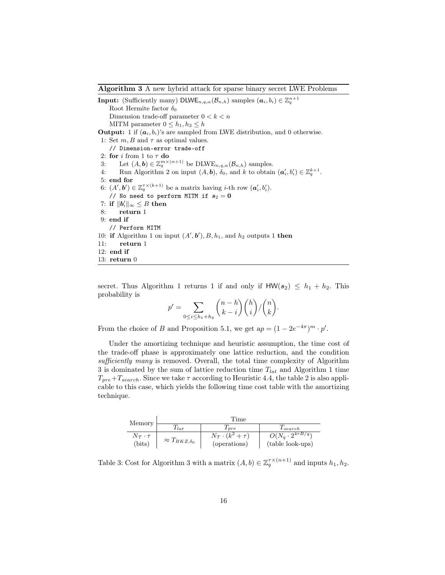Algorithm 3 A new hybrid attack for sparse binary secret LWE Problems

**Input:** (Sufficiently many) DLWE<sub>n,q, $\alpha$ </sub>( $\mathcal{B}_{n,h}$ ) samples  $(a_i, b_i) \in \mathbb{Z}_q^{n+1}$ Root Hermite factor  $\delta_0$ Dimension trade-off parameter  $0 < k < n$ MITM parameter  $0 \leq h_1, h_2 \leq h$ **Output:** 1 if  $(a_i, b_i)$ 's are sampled from LWE distribution, and 0 otherwise. 1: Set  $m, B$  and  $\tau$  as optimal values. // Dimension-error trade-off 2: for  $i$  from 1 to  $\tau$  do 3: Let  $(A, b) \in \mathbb{Z}_q^{m \times (n+1)}$  be  $\text{DLWE}_{n,q,\alpha}(\mathcal{B}_{n,h})$  samples. 4: Run Algorithm 2 on input  $(A, b)$ ,  $\delta_0$ , and k to obtain  $(a'_i, b'_i) \in \mathbb{Z}_q^{k+1}$ . 5: end for 6:  $(A', b') \in \mathbb{Z}_q^{\tau \times (k+1)}$  be a matrix having *i*-th row  $(a'_i, b'_i)$ . // No need to perform MITM if  $s_2 = 0$ 7: if  $||\boldsymbol{b}_i'||_{\infty} \leq B$  then 8: return 1 9: end if // Perform MITM 10: if Algorithm 1 on input  $(A', b'), B, h_1$ , and  $h_2$  outputs 1 then 11: return 1 12: end if 13: return 0

secret. Thus Algorithm 1 returns 1 if and only if  $HW(s_2) \leq h_1 + h_2$ . This probability is

$$
p' = \sum_{0 \le i \le h_1 + h_2} {n - h \choose k - i} {h \choose i} / {n \choose k}.
$$

From the choice of B and Proposition 5.1, we get  $ap = (1 - 2e^{-4\pi})^m \cdot p'$ .

Under the amortizing technique and heuristic assumption, the time cost of the trade-off phase is approximately one lattice reduction, and the condition sufficiently many is removed. Overall, the total time complexity of Algorithm 3 is dominated by the sum of lattice reduction time  $T_{lat}$  and Algorithm 1 time  $T_{pre}+T_{search}$ . Since we take  $\tau$  according to Heuristic 4.4, the table 2 is also applicable to this case, which yields the following time cost table with the amortizing technique.

| Memory                |                               | Time                             |                                         |
|-----------------------|-------------------------------|----------------------------------|-----------------------------------------|
|                       | $I_{lat}$                     | $I_{pre}$                        | $T_{search}$                            |
| $N_{\tau} \cdot \tau$ | $\approx T_{B K Z, \delta_0}$ | $N_{\mathcal{T}}\cdot(k^2+\tau)$ | $O(N_q \cdot 2^{\overline{4\tau B/q}})$ |
| (bits)                |                               | (operations)                     | (table look-ups)                        |

Table 3: Cost for Algorithm 3 with a matrix  $(A, b) \in \mathbb{Z}_q^{\tau \times (n+1)}$  and inputs  $h_1, h_2$ .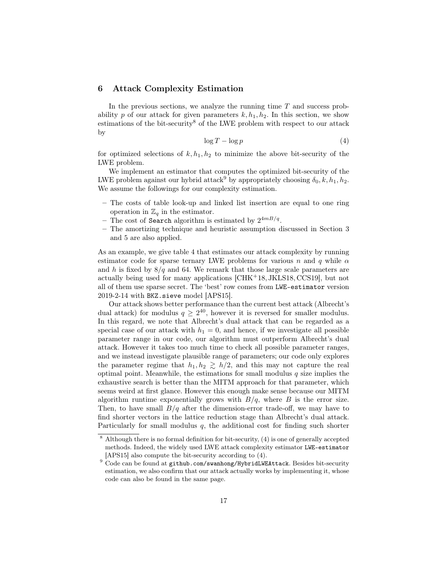### 6 Attack Complexity Estimation

In the previous sections, we analyze the running time  $T$  and success probability p of our attack for given parameters  $k, h_1, h_2$ . In this section, we show estimations of the bit-security<sup>8</sup> of the LWE problem with respect to our attack by

$$
\log T - \log p \tag{4}
$$

for optimized selections of  $k, h_1, h_2$  to minimize the above bit-security of the LWE problem.

We implement an estimator that computes the optimized bit-security of the LWE problem against our hybrid attack<sup>9</sup> by appropriately choosing  $\delta_0, k, h_1, h_2$ . We assume the followings for our complexity estimation.

- The costs of table look-up and linked list insertion are equal to one ring operation in  $\mathbb{Z}_q$  in the estimator.
- The cost of Search algorithm is estimated by  $2^{4m}B/q$ .
- The amortizing technique and heuristic assumption discussed in Section 3 and 5 are also applied.

As an example, we give table 4 that estimates our attack complexity by running estimator code for sparse ternary LWE problems for various n and q while  $\alpha$ and h is fixed by  $8/q$  and 64. We remark that those large scale parameters are actually being used for many applications [CHK<sup>+</sup>18, JKLS18, CCS19], but not all of them use sparse secret. The 'best' row comes from LWE-estimator version 2019-2-14 with BKZ.sieve model [APS15].

Our attack shows better performance than the current best attack (Albrecht's dual attack) for modulus  $q \geq 2^{40}$ , however it is reversed for smaller modulus. In this regard, we note that Albrecht's dual attack that can be regarded as a special case of our attack with  $h_1 = 0$ , and hence, if we investigate all possible parameter range in our code, our algorithm must outperform Albrecht's dual attack. However it takes too much time to check all possible parameter ranges, and we instead investigate plausible range of parameters; our code only explores the parameter regime that  $h_1, h_2 \geq h/2$ , and this may not capture the real optimal point. Meanwhile, the estimations for small modulus  $q$  size implies the exhaustive search is better than the MITM approach for that parameter, which seems weird at first glance. However this enough make sense because our MITM algorithm runtime exponentially grows with  $B/q$ , where B is the error size. Then, to have small  $B/q$  after the dimension-error trade-off, we may have to find shorter vectors in the lattice reduction stage than Albrecht's dual attack. Particularly for small modulus  $q$ , the additional cost for finding such shorter

<sup>8</sup> Although there is no formal definition for bit-security, (4) is one of generally accepted methods. Indeed, the widely used LWE attack complexity estimator LWE-estimator [APS15] also compute the bit-security according to (4).

 $9$  Code can be found at github.com/swanhong/HybridLWEAttack. Besides bit-security estimation, we also confirm that our attack actually works by implementing it, whose code can also be found in the same page.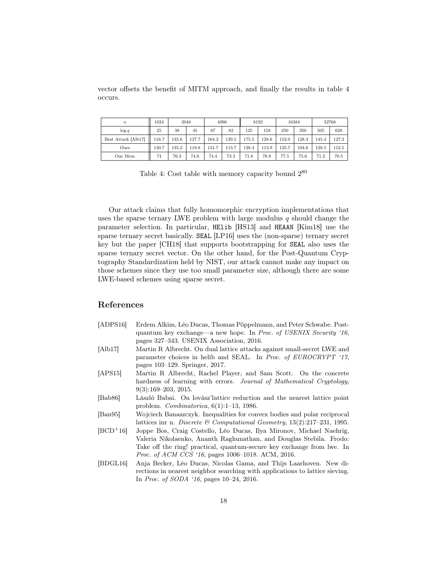vector offsets the benefit of MITM approach, and finally the results in table 4 occurs.

| $\boldsymbol{n}$    | 1024  |       | 2048  |       | 4096  |       | 8192  |       | 16384 | 32768 |       |
|---------------------|-------|-------|-------|-------|-------|-------|-------|-------|-------|-------|-------|
| $\log q$            | 25    | 38    | 45    | 67    | 82    | 125   | 158   | 250   | 350   | 505   | 628   |
| Best Attack [Alb17] | 116.7 | 135.6 | 127.7 | 164.2 | 129.5 | 175.5 | 128.6 | 152.0 | 128.3 | 145.4 | 127.2 |
| Ours                | 130.7 | 135.2 | 118.8 | 131.7 | 113.7 | 128.4 | 113.9 | 125.7 | 104.6 | 128.5 | 112.5 |
| Our Mem             | 74    | 76.3  | 74.6  | 74.4  | 73.3  | 71.8  | 78.8  | 77.5  | 75.6  | 71.2  | 70.5  |

Table 4: Cost table with memory capacity bound  $2^{80}$ 

Our attack claims that fully homomorphic encryption implementations that uses the sparse ternary LWE problem with large modulus  $q$  should change the parameter selection. In particular, HElib [HS13] and HEAAN [Kim18] use the sparse ternary secret basically. SEAL [LP16] uses the (non-sparse) ternary secret key but the paper [CH18] that supports bootstrapping for SEAL also uses the sparse ternary secret vector. On the other hand, for the Post-Quantum Cryptography Standardization held by NIST, our attack cannot make any impact on those schemes since they use too small parameter size, although there are some LWE-based schemes using sparse secret.

### References

| [ADPS16] | Erdem Alkim, Léo Ducas, Thomas Pöppelmann, and Peter Schwabe. Post-       |
|----------|---------------------------------------------------------------------------|
|          | quantum key exchange—a new hope. In <i>Proc. of USENIX Security '16</i> , |
|          | pages 327–343. USENIX Association, 2016.                                  |

- [Alb17] Martin R Albrecht. On dual lattice attacks against small-secret LWE and parameter choices in helib and SEAL. In Proc. of EUROCRYPT '17, pages 103–129. Springer, 2017.
- [APS15] Martin R Albrecht, Rachel Player, and Sam Scott. On the concrete hardness of learning with errors. Journal of Mathematical Cryptology, 9(3):169–203, 2015.
- [Bab86] László Babai. On lovász'lattice reduction and the nearest lattice point problem. Combinatorica, 6(1):1–13, 1986.
- [Ban95] Wojciech Banaszczyk. Inequalities for convex bodies and polar reciprocal lattices inr n. Discrete & Computational Geometry, 13(2):217–231, 1995.
- [BCD<sup>+</sup>16] Joppe Bos, Craig Costello, Léo Ducas, Ilya Mironov, Michael Naehrig, Valeria Nikolaenko, Ananth Raghunathan, and Douglas Stebila. Frodo: Take off the ring! practical, quantum-secure key exchange from lwe. In Proc. of ACM CCS '16, pages 1006-1018. ACM, 2016.
- [BDGL16] Anja Becker, Léo Ducas, Nicolas Gama, and Thijs Laarhoven. New directions in nearest neighbor searching with applications to lattice sieving. In Proc. of SODA '16, pages 10–24, 2016.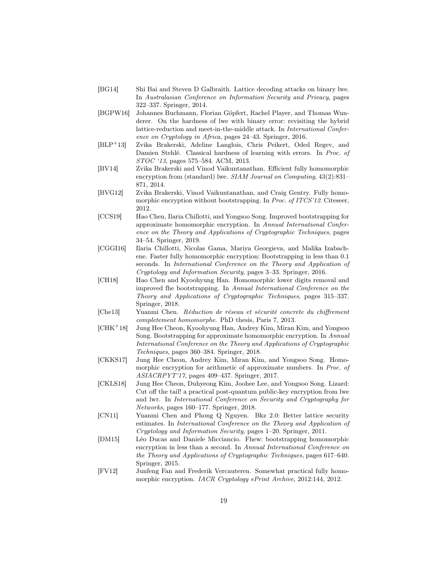- [BG14] Shi Bai and Steven D Galbraith. Lattice decoding attacks on binary lwe. In Australasian Conference on Information Security and Privacy, pages 322–337. Springer, 2014.
- [BGPW16] Johannes Buchmann, Florian Göpfert, Rachel Player, and Thomas Wunderer. On the hardness of lwe with binary error: revisiting the hybrid lattice-reduction and meet-in-the-middle attack. In International Conference on Cryptology in Africa, pages 24–43. Springer, 2016.
- [BLP<sup>+</sup>13] Zvika Brakerski, Adeline Langlois, Chris Peikert, Oded Regev, and Damien Stehlé. Classical hardness of learning with errors. In Proc. of STOC '13, pages 575–584. ACM, 2013.
- [BV14] Zvika Brakerski and Vinod Vaikuntanathan. Efficient fully homomorphic encryption from (standard) lwe. SIAM Journal on Computing, 43(2):831– 871, 2014.
- [BVG12] Zvika Brakerski, Vinod Vaikuntanathan, and Craig Gentry. Fully homomorphic encryption without bootstrapping. In Proc. of ITCS'12. Citeseer, 2012.
- [CCS19] Hao Chen, Ilaria Chillotti, and Yongsoo Song. Improved bootstrapping for approximate homomorphic encryption. In Annual International Conference on the Theory and Applications of Cryptographic Techniques, pages 34–54. Springer, 2019.
- [CGGI16] Ilaria Chillotti, Nicolas Gama, Mariya Georgieva, and Malika Izabachene. Faster fully homomorphic encryption: Bootstrapping in less than 0.1 seconds. In International Conference on the Theory and Application of Cryptology and Information Security, pages 3–33. Springer, 2016.
- [CH18] Hao Chen and Kyoohyung Han. Homomorphic lower digits removal and improved fhe bootstrapping. In Annual International Conference on the Theory and Applications of Cryptographic Techniques, pages 315–337. Springer, 2018.
- [Che13] Yuanmi Chen. Réduction de réseau et sécurité concrete du chiffrement completement homomorphe. PhD thesis, Paris 7, 2013.
- [CHK<sup>+</sup>18] Jung Hee Cheon, Kyoohyung Han, Andrey Kim, Miran Kim, and Yongsoo Song. Bootstrapping for approximate homomorphic encryption. In Annual International Conference on the Theory and Applications of Cryptographic Techniques, pages 360–384. Springer, 2018.
- [CKKS17] Jung Hee Cheon, Andrey Kim, Miran Kim, and Yongsoo Song. Homomorphic encryption for arithmetic of approximate numbers. In Proc. of ASIACRPYT'17, pages 409–437. Springer, 2017.
- [CKLS18] Jung Hee Cheon, Duhyeong Kim, Joohee Lee, and Yongsoo Song. Lizard: Cut off the tail! a practical post-quantum public-key encryption from lwe and lwr. In International Conference on Security and Cryptography for Networks, pages 160–177. Springer, 2018.
- [CN11] Yuanmi Chen and Phong Q Nguyen. Bkz 2.0: Better lattice security estimates. In International Conference on the Theory and Application of Cryptology and Information Security, pages 1–20. Springer, 2011.
- [DM15] Léo Ducas and Daniele Micciancio. Fhew: bootstrapping homomorphic encryption in less than a second. In Annual International Conference on the Theory and Applications of Cryptographic Techniques, pages 617–640. Springer, 2015.
- [FV12] Junfeng Fan and Frederik Vercauteren. Somewhat practical fully homomorphic encryption. IACR Cryptology ePrint Archive, 2012:144, 2012.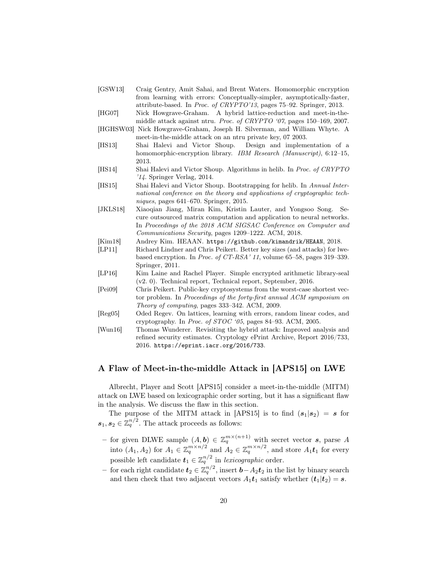- [GSW13] Craig Gentry, Amit Sahai, and Brent Waters. Homomorphic encryption from learning with errors: Conceptually-simpler, asymptotically-faster, attribute-based. In Proc. of CRYPTO'13, pages 75–92. Springer, 2013.
- [HG07] Nick Howgrave-Graham. A hybrid lattice-reduction and meet-in-themiddle attack against ntru. Proc. of CRYPTO '07, pages 150–169, 2007.
- [HGHSW03] Nick Howgrave-Graham, Joseph H. Silverman, and William Whyte. A meet-in-the-middle attack on an ntru private key, 07 2003.
- [HS13] Shai Halevi and Victor Shoup. Design and implementation of a homomorphic-encryption library. IBM Research (Manuscript), 6:12-15, 2013.
- [HS14] Shai Halevi and Victor Shoup. Algorithms in helib. In Proc. of CRYPTO '14. Springer Verlag, 2014.
- [HS15] Shai Halevi and Victor Shoup. Bootstrapping for helib. In Annual International conference on the theory and applications of cryptographic techniques, pages 641–670. Springer, 2015.
- [JKLS18] Xiaoqian Jiang, Miran Kim, Kristin Lauter, and Yongsoo Song. Secure outsourced matrix computation and application to neural networks. In Proceedings of the 2018 ACM SIGSAC Conference on Computer and Communications Security, pages 1209–1222. ACM, 2018.
- [Kim18] Andrey Kim. HEAAN. https://github.com/kimandrik/HEAAN, 2018.
- [LP11] Richard Lindner and Chris Peikert. Better key sizes (and attacks) for lwebased encryption. In Proc. of CT-RSA' 11, volume 65–58, pages 319–339. Springer, 2011.
- [LP16] Kim Laine and Rachel Player. Simple encrypted arithmetic library-seal (v2. 0). Technical report, Technical report, September, 2016.
- [Pei09] Chris Peikert. Public-key cryptosystems from the worst-case shortest vector problem. In Proceedings of the forty-first annual ACM symposium on Theory of computing, pages 333–342. ACM, 2009.
- [Reg05] Oded Regev. On lattices, learning with errors, random linear codes, and cryptography. In Proc. of STOC '05, pages 84–93. ACM, 2005.
- [Wun16] Thomas Wunderer. Revisiting the hybrid attack: Improved analysis and refined security estimates. Cryptology ePrint Archive, Report 2016/733, 2016. https://eprint.iacr.org/2016/733.

# A Flaw of Meet-in-the-middle Attack in [APS15] on LWE

Albrecht, Player and Scott [APS15] consider a meet-in-the-middle (MITM) attack on LWE based on lexicographic order sorting, but it has a significant flaw in the analysis. We discuss the flaw in this section.

The purpose of the MITM attack in [APS15] is to find  $(s_1|s_2) = s$  for  $s_1, s_2 \in \mathbb{Z}_q^{n/2}$ . The attack proceeds as follows:

- for given DLWE sample  $(A, b) \in \mathbb{Z}_q^{m \times (n+1)}$  with secret vector s, parse A into  $(A_1, A_2)$  for  $A_1 \in \mathbb{Z}_q^{m \times n/2}$  and  $A_2 \in \mathbb{Z}_q^{m \times n/2}$ , and store  $A_1 \mathbf{t}_1$  for every possible left candidate  $t_1 \in \mathbb{Z}_q^{n/2}$  in lexicographic order.
- − for each right candidate  $t_2 \in \mathbb{Z}_q^{n/2}$ , insert  $\boldsymbol{b} A_2 \boldsymbol{t}_2$  in the list by binary search and then check that two adjacent vectors  $A_1t_1$  satisfy whether  $(t_1|t_2) = s$ .